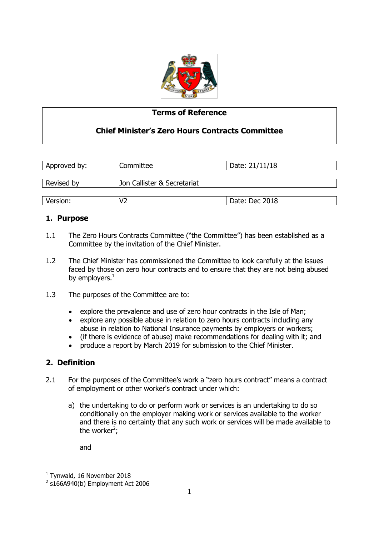

### **Terms of Reference**

## **Chief Minister's Zero Hours Contracts Committee**

| Approved by: | Committee                   | Date: 21/11/18 |  |
|--------------|-----------------------------|----------------|--|
| Revised by   | Jon Callister & Secretariat |                |  |
|              |                             |                |  |
| Version:     | V2                          | Date: Dec 2018 |  |

### **1. Purpose**

- 1.1 The Zero Hours Contracts Committee ("the Committee") has been established as a Committee by the invitation of the Chief Minister.
- 1.2 The Chief Minister has commissioned the Committee to look carefully at the issues faced by those on zero hour contracts and to ensure that they are not being abused by employers. $1$
- 1.3 The purposes of the Committee are to:
	- explore the prevalence and use of zero hour contracts in the Isle of Man;
	- explore any possible abuse in relation to zero hours contracts including any abuse in relation to National Insurance payments by employers or workers;
	- (if there is evidence of abuse) make recommendations for dealing with it; and
	- produce a report by March 2019 for submission to the Chief Minister.

## **2. Definition**

- 2.1 For the purposes of the Committee's work a "zero hours contract" means a contract of employment or other worker's contract under which:
	- a) the undertaking to do or perform work or services is an undertaking to do so conditionally on the employer making work or services available to the worker and there is no certainty that any such work or services will be made available to the worker<sup>2</sup>;

and

-

<sup>&</sup>lt;sup>1</sup> Tynwald, 16 November 2018

 $2$  s166A940(b) Employment Act 2006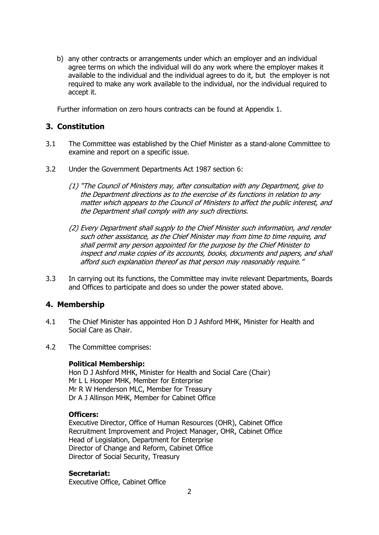b) any other contracts or arrangements under which an employer and an individual agree terms on which the individual will do any work where the employer makes it available to the individual and the individual agrees to do it, but the employer is not required to make any work available to the individual, nor the individual required to accept it.

Further information on zero hours contracts can be found at Appendix 1.

### **3. Constitution**

- 3.1 The Committee was established by the Chief Minister as a stand-alone Committee to examine and report on a specific issue.
- 3.2 Under the Government Departments Act 1987 section 6:
	- (1) "The Council of Ministers may, after consultation with any Department, give to the Department directions as to the exercise of its functions in relation to any matter which appears to the Council of Ministers to affect the public interest, and the Department shall comply with any such directions.
	- (2) Every Department shall supply to the Chief Minister such information, and render such other assistance, as the Chief Minister may from time to time require, and shall permit any person appointed for the purpose by the Chief Minister to inspect and make copies of its accounts, books, documents and papers, and shall afford such explanation thereof as that person may reasonably require."
- 3.3 In carrying out its functions, the Committee may invite relevant Departments, Boards and Offices to participate and does so under the power stated above.

#### **4. Membership**

- 4.1 The Chief Minister has appointed Hon D J Ashford MHK, Minister for Health and Social Care as Chair.
- 4.2 The Committee comprises:

#### **Political Membership:**

Hon D J Ashford MHK, Minister for Health and Social Care (Chair) Mr L L Hooper MHK, Member for Enterprise Mr R W Henderson MLC, Member for Treasury Dr A J Allinson MHK, Member for Cabinet Office

#### **Officers:**

Executive Director, Office of Human Resources (OHR), Cabinet Office Recruitment Improvement and Project Manager, OHR, Cabinet Office Head of Legislation, Department for Enterprise Director of Change and Reform, Cabinet Office Director of Social Security, Treasury

#### **Secretariat:**

Executive Office, Cabinet Office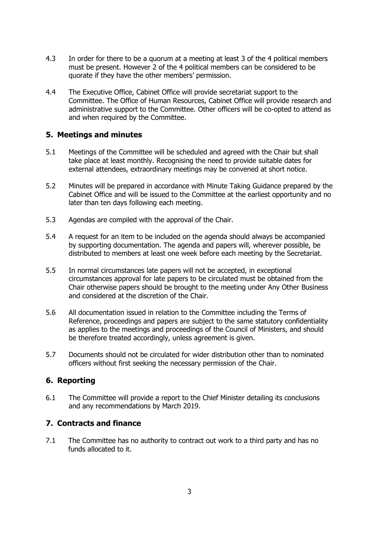- 4.3 In order for there to be a quorum at a meeting at least 3 of the 4 political members must be present. However 2 of the 4 political members can be considered to be quorate if they have the other members' permission.
- 4.4 The Executive Office, Cabinet Office will provide secretariat support to the Committee. The Office of Human Resources, Cabinet Office will provide research and administrative support to the Committee. Other officers will be co-opted to attend as and when required by the Committee.

#### **5. Meetings and minutes**

- 5.1 Meetings of the Committee will be scheduled and agreed with the Chair but shall take place at least monthly. Recognising the need to provide suitable dates for external attendees, extraordinary meetings may be convened at short notice.
- 5.2 Minutes will be prepared in accordance with Minute Taking Guidance prepared by the Cabinet Office and will be issued to the Committee at the earliest opportunity and no later than ten days following each meeting.
- 5.3 Agendas are compiled with the approval of the Chair.
- 5.4 A request for an item to be included on the agenda should always be accompanied by supporting documentation. The agenda and papers will, wherever possible, be distributed to members at least one week before each meeting by the Secretariat.
- 5.5 In normal circumstances late papers will not be accepted, in exceptional circumstances approval for late papers to be circulated must be obtained from the Chair otherwise papers should be brought to the meeting under Any Other Business and considered at the discretion of the Chair.
- 5.6 All documentation issued in relation to the Committee including the Terms of Reference, proceedings and papers are subject to the same statutory confidentiality as applies to the meetings and proceedings of the Council of Ministers, and should be therefore treated accordingly, unless agreement is given.
- 5.7 Documents should not be circulated for wider distribution other than to nominated officers without first seeking the necessary permission of the Chair.

### **6. Reporting**

6.1 The Committee will provide a report to the Chief Minister detailing its conclusions and any recommendations by March 2019.

### **7. Contracts and finance**

7.1 The Committee has no authority to contract out work to a third party and has no funds allocated to it.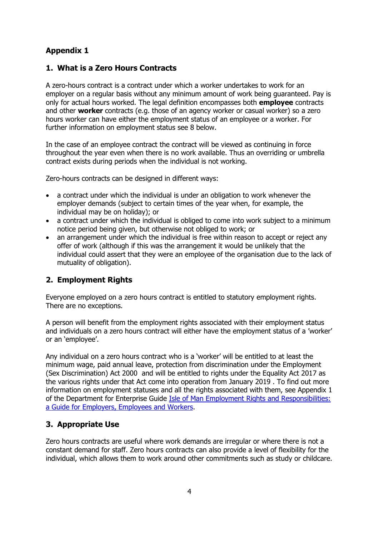# **Appendix 1**

### **1. What is a Zero Hours Contracts**

A zero-hours contract is a contract under which a worker undertakes to work for an employer on a regular basis without any minimum amount of work being guaranteed. Pay is only for actual hours worked. The legal definition encompasses both **employee** contracts and other **worker** contracts (e.g. those of an agency worker or casual worker) so a zero hours worker can have either the employment status of an employee or a worker. For further information on employment status see 8 below.

In the case of an employee contract the contract will be viewed as continuing in force throughout the year even when there is no work available. Thus an overriding or umbrella contract exists during periods when the individual is not working.

Zero-hours contracts can be designed in different ways:

- a contract under which the individual is under an obligation to work whenever the employer demands (subject to certain times of the year when, for example, the individual may be on holiday); or
- a contract under which the individual is obliged to come into work subject to a minimum notice period being given, but otherwise not obliged to work; or
- an arrangement under which the individual is free within reason to accept or reject any offer of work (although if this was the arrangement it would be unlikely that the individual could assert that they were an employee of the organisation due to the lack of mutuality of obligation).

## **2. Employment Rights**

Everyone employed on a zero hours contract is entitled to statutory employment rights. There are no exceptions.

A person will benefit from the employment rights associated with their employment status and individuals on a zero hours contract will either have the employment status of a 'worker' or an 'employee'.

Any individual on a zero hours contract who is a 'worker' will be entitled to at least the minimum wage, paid annual leave, protection from discrimination under the Employment (Sex Discrimination) Act 2000 and will be entitled to rights under the Equality Act 2017 as the various rights under that Act come into operation from January 2019 . To find out more information on employment statuses and all the rights associated with them, see Appendix 1 of the Department for Enterprise Guide *Isle of Man Employment Rights and Responsibilities:* [a Guide for Employers, Employees and Workers.](https://www.gov.im/media/61118/emp-guide-15th-jan-2018.pdf)

## **3. Appropriate Use**

Zero hours contracts are useful where work demands are irregular or where there is not a constant demand for staff. Zero hours contracts can also provide a level of flexibility for the individual, which allows them to work around other commitments such as study or childcare.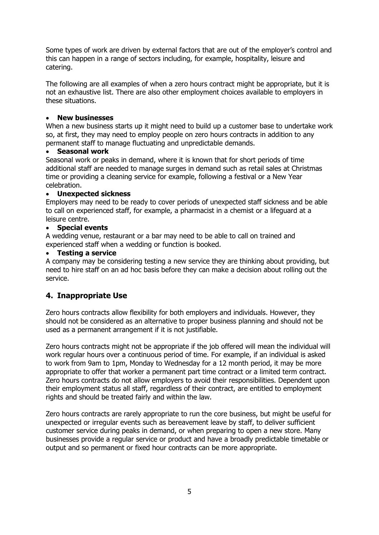Some types of work are driven by external factors that are out of the employer's control and this can happen in a range of sectors including, for example, hospitality, leisure and catering.

The following are all examples of when a zero hours contract might be appropriate, but it is not an exhaustive list. There are also other employment choices available to employers in these situations.

#### **New businesses**

When a new business starts up it might need to build up a customer base to undertake work so, at first, they may need to employ people on zero hours contracts in addition to any permanent staff to manage fluctuating and unpredictable demands.

#### **Seasonal work**

Seasonal work or peaks in demand, where it is known that for short periods of time additional staff are needed to manage surges in demand such as retail sales at Christmas time or providing a cleaning service for example, following a festival or a New Year celebration.

### **Unexpected sickness**

Employers may need to be ready to cover periods of unexpected staff sickness and be able to call on experienced staff, for example, a pharmacist in a chemist or a lifeguard at a leisure centre.

#### **Special events**

A wedding venue, restaurant or a bar may need to be able to call on trained and experienced staff when a wedding or function is booked.

#### **Testing a service**

A company may be considering testing a new service they are thinking about providing, but need to hire staff on an ad hoc basis before they can make a decision about rolling out the service.

## **4. Inappropriate Use**

Zero hours contracts allow flexibility for both employers and individuals. However, they should not be considered as an alternative to proper business planning and should not be used as a permanent arrangement if it is not justifiable.

Zero hours contracts might not be appropriate if the job offered will mean the individual will work regular hours over a continuous period of time. For example, if an individual is asked to work from 9am to 1pm, Monday to Wednesday for a 12 month period, it may be more appropriate to offer that worker a permanent part time contract or a limited term contract. Zero hours contracts do not allow employers to avoid their responsibilities. Dependent upon their employment status all staff, regardless of their contract, are entitled to employment rights and should be treated fairly and within the law.

Zero hours contracts are rarely appropriate to run the core business, but might be useful for unexpected or irregular events such as bereavement leave by staff, to deliver sufficient customer service during peaks in demand, or when preparing to open a new store. Many businesses provide a regular service or product and have a broadly predictable timetable or output and so permanent or fixed hour contracts can be more appropriate.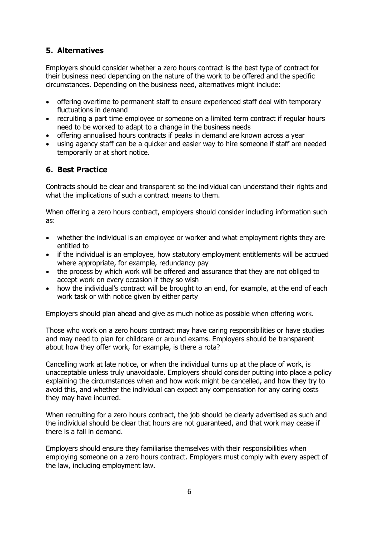# **5. Alternatives**

Employers should consider whether a zero hours contract is the best type of contract for their business need depending on the nature of the work to be offered and the specific circumstances. Depending on the business need, alternatives might include:

- offering overtime to permanent staff to ensure experienced staff deal with temporary fluctuations in demand
- recruiting a part time employee or someone on a limited term contract if regular hours need to be worked to adapt to a change in the business needs
- offering annualised hours contracts if peaks in demand are known across a year
- using agency staff can be a quicker and easier way to hire someone if staff are needed temporarily or at short notice.

# **6. Best Practice**

Contracts should be clear and transparent so the individual can understand their rights and what the implications of such a contract means to them.

When offering a zero hours contract, employers should consider including information such as:

- whether the individual is an employee or worker and what employment rights they are entitled to
- if the individual is an employee, how statutory employment entitlements will be accrued where appropriate, for example, redundancy pay
- the process by which work will be offered and assurance that they are not obliged to accept work on every occasion if they so wish
- how the individual's contract will be brought to an end, for example, at the end of each work task or with notice given by either party

Employers should plan ahead and give as much notice as possible when offering work.

Those who work on a zero hours contract may have caring responsibilities or have studies and may need to plan for childcare or around exams. Employers should be transparent about how they offer work, for example, is there a rota?

Cancelling work at late notice, or when the individual turns up at the place of work, is unacceptable unless truly unavoidable. Employers should consider putting into place a policy explaining the circumstances when and how work might be cancelled, and how they try to avoid this, and whether the individual can expect any compensation for any caring costs they may have incurred.

When recruiting for a zero hours contract, the job should be clearly advertised as such and the individual should be clear that hours are not guaranteed, and that work may cease if there is a fall in demand.

Employers should ensure they familiarise themselves with their responsibilities when employing someone on a zero hours contract. Employers must comply with every aspect of the law, including employment law.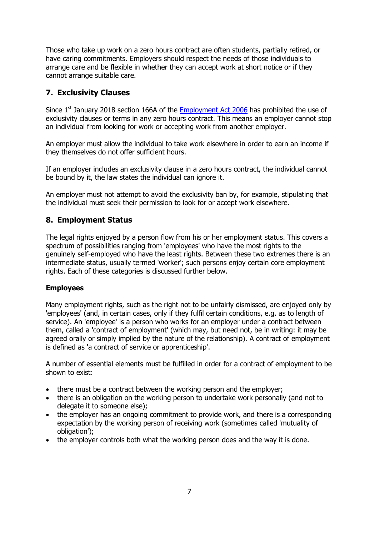Those who take up work on a zero hours contract are often students, partially retired, or have caring commitments. Employers should respect the needs of those individuals to arrange care and be flexible in whether they can accept work at short notice or if they cannot arrange suitable care.

# **7. Exclusivity Clauses**

Since  $1<sup>st</sup>$  January 2018 section 166A of the [Employment Act 2006](https://www.legislation.gov.im/cms/images/LEGISLATION/PRINCIPAL/2006/2006-0021/EmploymentAct2006_11.pdf) has prohibited the use of exclusivity clauses or terms in any zero hours contract. This means an employer cannot stop an individual from looking for work or accepting work from another employer.

An employer must allow the individual to take work elsewhere in order to earn an income if they themselves do not offer sufficient hours.

If an employer includes an exclusivity clause in a zero hours contract, the individual cannot be bound by it, the law states the individual can ignore it.

An employer must not attempt to avoid the exclusivity ban by, for example, stipulating that the individual must seek their permission to look for or accept work elsewhere.

## **8. Employment Status**

The legal rights enjoyed by a person flow from his or her employment status. This covers a spectrum of possibilities ranging from 'employees' who have the most rights to the genuinely self-employed who have the least rights. Between these two extremes there is an intermediate status, usually termed 'worker'; such persons enjoy certain core employment rights. Each of these categories is discussed further below.

#### **Employees**

Many employment rights, such as the right not to be unfairly dismissed, are enjoyed only by 'employees' (and, in certain cases, only if they fulfil certain conditions, e.g. as to length of service). An 'employee' is a person who works for an employer under a contract between them, called a 'contract of employment' (which may, but need not, be in writing: it may be agreed orally or simply implied by the nature of the relationship). A contract of employment is defined as 'a contract of service or apprenticeship'.

A number of essential elements must be fulfilled in order for a contract of employment to be shown to exist:

- there must be a contract between the working person and the employer;
- there is an obligation on the working person to undertake work personally (and not to delegate it to someone else);
- the employer has an ongoing commitment to provide work, and there is a corresponding expectation by the working person of receiving work (sometimes called 'mutuality of obligation');
- the employer controls both what the working person does and the way it is done.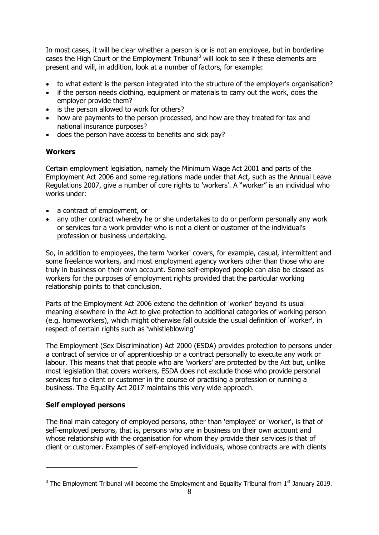In most cases, it will be clear whether a person is or is not an employee, but in borderline cases the High Court or the Employment Tribunal<sup>3</sup> will look to see if these elements are present and will, in addition, look at a number of factors, for example:

- to what extent is the person integrated into the structure of the employer's organisation?
- if the person needs clothing, equipment or materials to carry out the work, does the employer provide them?
- is the person allowed to work for others?
- how are payments to the person processed, and how are they treated for tax and national insurance purposes?
- does the person have access to benefits and sick pay?

#### **Workers**

Certain employment legislation, namely the Minimum Wage Act 2001 and parts of the Employment Act 2006 and some regulations made under that Act, such as the Annual Leave Regulations 2007, give a number of core rights to 'workers'. A "worker" is an individual who works under:

- a contract of employment, or
- any other contract whereby he or she undertakes to do or perform personally any work or services for a work provider who is not a client or customer of the individual's profession or business undertaking.

So, in addition to employees, the term 'worker' covers, for example, casual, intermittent and some freelance workers, and most employment agency workers other than those who are truly in business on their own account. Some self-employed people can also be classed as workers for the purposes of employment rights provided that the particular working relationship points to that conclusion.

Parts of the Employment Act 2006 extend the definition of 'worker' beyond its usual meaning elsewhere in the Act to give protection to additional categories of working person (e.g. homeworkers), which might otherwise fall outside the usual definition of 'worker', in respect of certain rights such as 'whistleblowing'

The Employment (Sex Discrimination) Act 2000 (ESDA) provides protection to persons under a contract of service or of apprenticeship or a contract personally to execute any work or labour. This means that that people who are 'workers' are protected by the Act but, unlike most legislation that covers workers, ESDA does not exclude those who provide personal services for a client or customer in the course of practising a profession or running a business. The Equality Act 2017 maintains this very wide approach.

### **Self employed persons**

-

The final main category of employed persons, other than 'employee' or 'worker', is that of self-employed persons, that is, persons who are in business on their own account and whose relationship with the organisation for whom they provide their services is that of client or customer. Examples of self-employed individuals, whose contracts are with clients

 $3$  The Employment Tribunal will become the Employment and Equality Tribunal from  $1<sup>st</sup>$  January 2019.